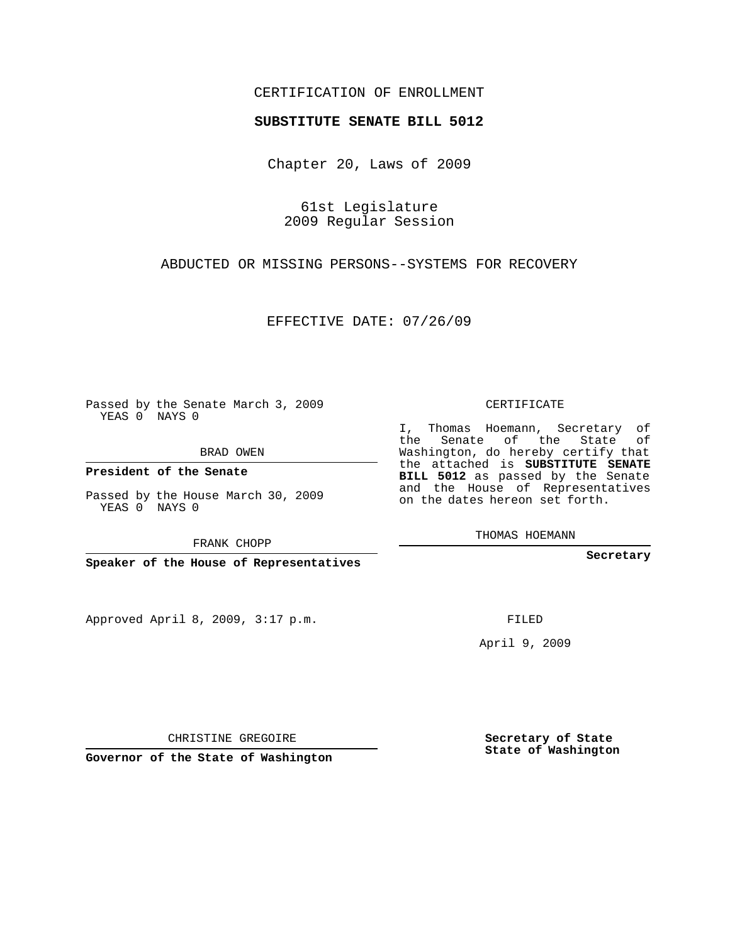## CERTIFICATION OF ENROLLMENT

## **SUBSTITUTE SENATE BILL 5012**

Chapter 20, Laws of 2009

61st Legislature 2009 Regular Session

ABDUCTED OR MISSING PERSONS--SYSTEMS FOR RECOVERY

EFFECTIVE DATE: 07/26/09

Passed by the Senate March 3, 2009 YEAS 0 NAYS 0

BRAD OWEN

**President of the Senate**

Passed by the House March 30, 2009 YEAS 0 NAYS 0

FRANK CHOPP

**Speaker of the House of Representatives**

Approved April 8, 2009, 3:17 p.m.

CERTIFICATE

I, Thomas Hoemann, Secretary of the Senate of the State of Washington, do hereby certify that the attached is **SUBSTITUTE SENATE BILL 5012** as passed by the Senate and the House of Representatives on the dates hereon set forth.

THOMAS HOEMANN

**Secretary**

FILED

April 9, 2009

**Secretary of State State of Washington**

CHRISTINE GREGOIRE

**Governor of the State of Washington**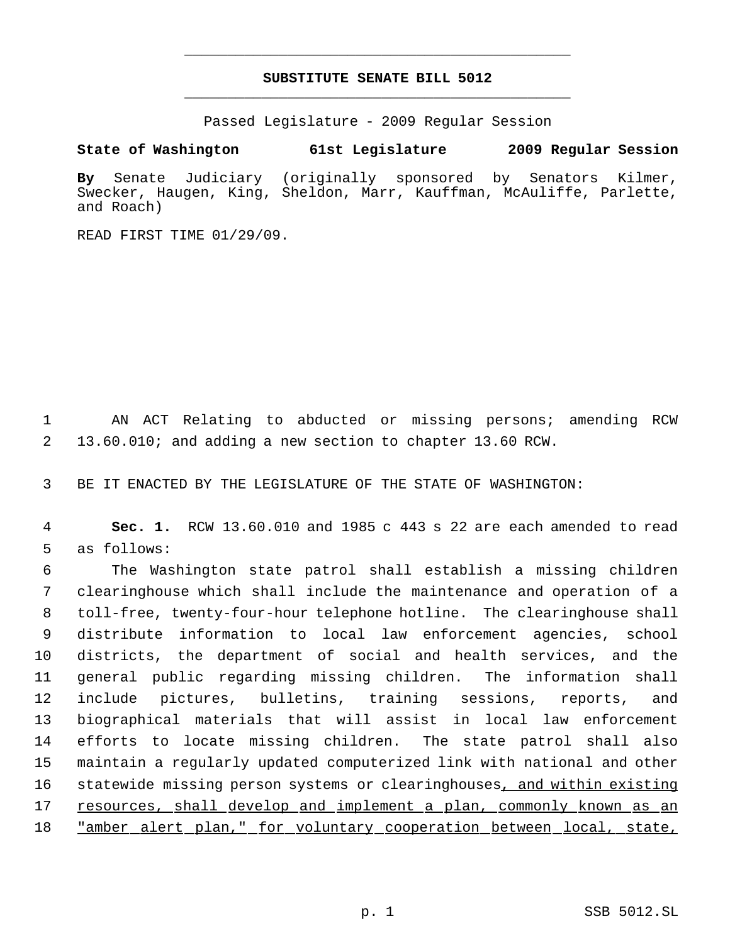## **SUBSTITUTE SENATE BILL 5012** \_\_\_\_\_\_\_\_\_\_\_\_\_\_\_\_\_\_\_\_\_\_\_\_\_\_\_\_\_\_\_\_\_\_\_\_\_\_\_\_\_\_\_\_\_

\_\_\_\_\_\_\_\_\_\_\_\_\_\_\_\_\_\_\_\_\_\_\_\_\_\_\_\_\_\_\_\_\_\_\_\_\_\_\_\_\_\_\_\_\_

Passed Legislature - 2009 Regular Session

**State of Washington 61st Legislature 2009 Regular Session**

**By** Senate Judiciary (originally sponsored by Senators Kilmer, Swecker, Haugen, King, Sheldon, Marr, Kauffman, McAuliffe, Parlette, and Roach)

READ FIRST TIME 01/29/09.

 AN ACT Relating to abducted or missing persons; amending RCW 13.60.010; and adding a new section to chapter 13.60 RCW.

BE IT ENACTED BY THE LEGISLATURE OF THE STATE OF WASHINGTON:

 **Sec. 1.** RCW 13.60.010 and 1985 c 443 s 22 are each amended to read as follows:

 The Washington state patrol shall establish a missing children clearinghouse which shall include the maintenance and operation of a toll-free, twenty-four-hour telephone hotline. The clearinghouse shall distribute information to local law enforcement agencies, school districts, the department of social and health services, and the general public regarding missing children. The information shall include pictures, bulletins, training sessions, reports, and biographical materials that will assist in local law enforcement efforts to locate missing children. The state patrol shall also maintain a regularly updated computerized link with national and other 16 statewide missing person systems or clearinghouses, and within existing resources, shall develop and implement a plan, commonly known as an "amber alert plan," for voluntary cooperation between local, state,